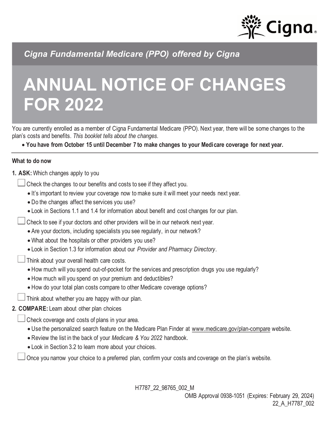

*Cigna Fundamental Medicare (PPO) offered by Cigna*

# **ANNUAL NOTICE OF CHANGES FOR 2022**

You are currently enrolled as a member of Cigna Fundamental Medicare (PPO). Next year, there will be some changes to the plan's costs and benefits*. This booklet tells about the changes.*

• **You have from October 15 until December 7 to make changes to your Medicare coverage for next year.**

#### **What to do now**

- **1. ASK:** Which changes apply to you
	- Check the changes to our benefits and costs to see if they affect you.
		- It's important to review your coverage now to make sure it will meet your needs next year.
		- Do the changes affect the services you use?
		- Look in Sections 1.1 and 1.4 for information about benefit and cost changes for our plan.
	- Check to see if your doctors and other providers will be in our network next year.
		- Are your doctors, including specialists you see regularly, in our network?
		- What about the hospitals or other providers you use?
		- Look in Section 1.3 for information about our *Provider and Pharmacy Directory*.
	- Think about your overall health care costs.
		- How much will you spend out-of-pocket for the services and prescription drugs you use regularly?
		- How much will you spend on your premium and deductibles?
		- How do your total plan costs compare to other Medicare coverage options?
	- Think about whether you are happy with our plan.

# **2. COMPARE:** Learn about other plan choices

- Check coverage and costs of plans in your area.
	- Use the personalized search feature on the Medicare Plan Finder at www.medicare.gov/plan-compare website.
	- Review the list in the back of your *Medicare & You 2022* handbook.
	- Look in Section 3.2 to learn more about your choices.

Once you narrow your choice to a preferred plan, confirm your costs and coverage on the plan's website.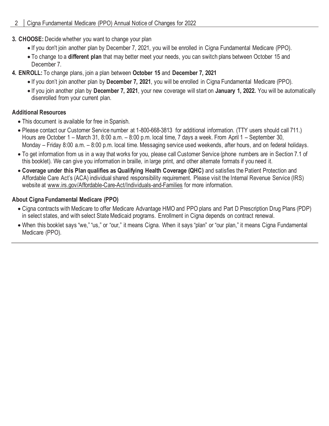- **3. CHOOSE:** Decide whether you want to change your plan
	- If you don't join another plan by December 7, 2021, you will be enrolled in Cigna Fundamental Medicare (PPO).
	- To change to a **different plan** that may better meet your needs, you can switch plans between October 15 and December 7.
- **4. ENROLL:** To change plans, join a plan between **October 15** and **December 7, 2021**
	- If you don't join another plan by **December 7, 2021**, you will be enrolled in Cigna Fundamental Medicare (PPO).
	- If you join another plan by **December 7, 2021**, your new coverage will start on **January 1, 2022.** You will be automatically disenrolled from your current plan.

# **Additional Resources**

- This document is available for free in Spanish.
- Please contact our Customer Service number at 1-800-668-3813 for additional information. (TTY users should call 711.) Hours are October 1 – March 31, 8:00 a.m. – 8:00 p.m. local time, 7 days a week. From April 1 – September 30, Monday – Friday 8:00 a.m. – 8:00 p.m. local time. Messaging service used weekends, after hours, and on federal holidays.
- To get information from us in a way that works for you, please call Customer Service (phone numbers are in Section 7.1 of this booklet). We can give you information in braille, in large print, and other alternate formats if you need it.
- **Coverage under this Plan qualifies as Qualifying Health Coverage (QHC)** and satisfies the Patient Protection and Affordable Care Act's (ACA) individual shared responsibility requirement. Please visit the Internal Revenue Service (IRS) website at www.irs.gov/Affordable-Care-Act/Individuals-and-Families for more information.

# **About Cigna Fundamental Medicare (PPO)**

- Cigna contracts with Medicare to offer Medicare Advantage HMO and PPO plans and Part D Prescription Drug Plans (PDP) in select states, and with select State Medicaid programs. Enrollment in Cigna depends on contract renewal.
- When this booklet says "we," "us," or "our," it means Cigna. When it says "plan" or "our plan," it means Cigna Fundamental Medicare (PPO).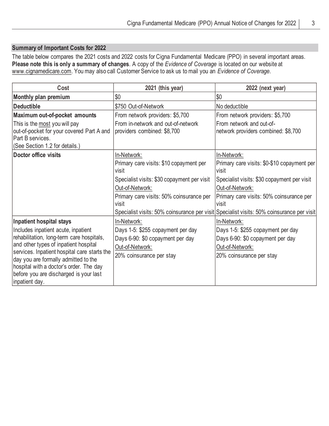# **Summary of Important Costs for 2022**

The table below compares the 2021 costs and 2022 costs for Cigna Fundamental Medicare (PPO) in several important areas. **Please note this is only a summary of changes**. A copy of the *Evidence of Coverage* is located on our website at www.cignamedicare.com. You may also call Customer Service to ask us to mail you an *Evidence of Coverage*.

| Cost                                                                                                                             | 2021 (this year)                                                  | 2022 (next year)                                                                          |
|----------------------------------------------------------------------------------------------------------------------------------|-------------------------------------------------------------------|-------------------------------------------------------------------------------------------|
| Monthly plan premium                                                                                                             | \$0                                                               | \$0                                                                                       |
| <b>Deductible</b>                                                                                                                | \$750 Out-of-Network                                              | No deductible                                                                             |
| Maximum out-of-pocket amounts                                                                                                    | From network providers: \$5,700                                   | From network providers: \$5,700                                                           |
| This is the most you will pay<br>out-of-pocket for your covered Part A and<br>Part B services.<br>(See Section 1.2 for details.) | From in-network and out-of-network<br>providers combined: \$8,700 | From network and out-of-<br>network providers combined: \$8,700                           |
| Doctor office visits                                                                                                             | In-Network:                                                       | In-Network:                                                                               |
|                                                                                                                                  | Primary care visits: \$10 copayment per<br>visit                  | Primary care visits: \$0-\$10 copayment per<br>visit                                      |
|                                                                                                                                  | Specialist visits: \$30 copayment per visit                       | Specialist visits: \$30 copayment per visit                                               |
|                                                                                                                                  | Out-of-Network:                                                   | Out-of-Network:                                                                           |
|                                                                                                                                  | Primary care visits: 50% coinsurance per<br>visit                 | Primary care visits: 50% coinsurance per<br>visit                                         |
|                                                                                                                                  |                                                                   | Specialist visits: 50% coinsurance per visit Specialist visits: 50% coinsurance per visit |
| Inpatient hospital stays                                                                                                         | In-Network:                                                       | In-Network:                                                                               |
| Includes inpatient acute, inpatient                                                                                              | Days 1-5: \$255 copayment per day                                 | Days 1-5: \$255 copayment per day                                                         |
| rehabilitation, long-term care hospitals,                                                                                        | Days 6-90: \$0 copayment per day                                  | Days 6-90: \$0 copayment per day                                                          |
| and other types of inpatient hospital                                                                                            | Out-of-Network:                                                   | Out-of-Network:                                                                           |
| services. Inpatient hospital care starts the<br>day you are formally admitted to the                                             | 20% coinsurance per stay                                          | 20% coinsurance per stay                                                                  |
| hospital with a doctor's order. The day                                                                                          |                                                                   |                                                                                           |
| before you are discharged is your last                                                                                           |                                                                   |                                                                                           |
| inpatient day.                                                                                                                   |                                                                   |                                                                                           |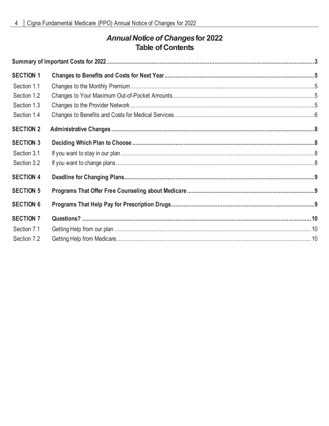# **Annual Notice of Changes for 2022 Table of Contents**

| <b>SECTION 1</b> |  |  |
|------------------|--|--|
| Section 1.1      |  |  |
| Section 1.2      |  |  |
| Section 1.3      |  |  |
| Section 1.4      |  |  |
| <b>SECTION 2</b> |  |  |
| <b>SECTION 3</b> |  |  |
| Section 3.1      |  |  |
| Section 3.2      |  |  |
| <b>SECTION 4</b> |  |  |
| <b>SECTION 5</b> |  |  |
| <b>SECTION 6</b> |  |  |
| <b>SECTION 7</b> |  |  |
| Section 7.1      |  |  |
| Section 7.2      |  |  |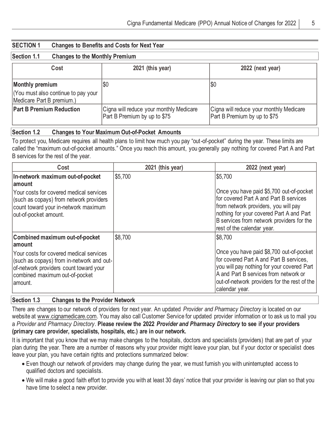| <b>SECTION 1</b>                                                                           | <b>Changes to Benefits and Costs for Next Year</b> |                                                                         |                                                                         |
|--------------------------------------------------------------------------------------------|----------------------------------------------------|-------------------------------------------------------------------------|-------------------------------------------------------------------------|
| Section 1.1                                                                                | <b>Changes to the Monthly Premium</b>              |                                                                         |                                                                         |
| Cost                                                                                       |                                                    | 2021 (this year)                                                        | 2022 (next year)                                                        |
| <b>Monthly premium</b><br>(You must also continue to pay your<br>Medicare Part B premium.) |                                                    | \$0                                                                     | \$0                                                                     |
| <b>Part B Premium Reduction</b>                                                            |                                                    | Cigna will reduce your monthly Medicare<br>Part B Premium by up to \$75 | Cigna will reduce your monthly Medicare<br>Part B Premium by up to \$75 |

# **Section 1.2 Changes to Your Maximum Out-of-Pocket Amounts**

To protect you, Medicare requires all health plans to limit how much you pay "out-of-pocket" during the year. These limits are called the "maximum out-of-pocket amounts." Once you reach this amount, you generally pay nothing for covered Part A and Part B services for the rest of the year.

| Cost                                                                                                                                                                         | 2021 (this year) | 2022 (next year)                                                                                                                                                                                                                                  |
|------------------------------------------------------------------------------------------------------------------------------------------------------------------------------|------------------|---------------------------------------------------------------------------------------------------------------------------------------------------------------------------------------------------------------------------------------------------|
| In-network maximum out-of-pocket<br>∣amount                                                                                                                                  | \$5,700          | \$5,700                                                                                                                                                                                                                                           |
| Your costs for covered medical services<br>(such as copays) from network providers<br>count toward your in-network maximum<br>out-of-pocket amount.                          |                  | Once you have paid \$5,700 out-of-pocket<br>for covered Part A and Part B services<br>from network providers, you will pay<br>nothing for your covered Part A and Part<br>B services from network providers for the<br>rest of the calendar year. |
| Combined maximum out-of-pocket<br>∣amount                                                                                                                                    | \$8,700          | \$8,700                                                                                                                                                                                                                                           |
| Your costs for covered medical services<br>(such as copays) from in-network and out-<br>of-network providers count toward your<br>combined maximum out-of-pocket<br>lamount. |                  | Once you have paid \$8,700 out-of-pocket<br>for covered Part A and Part B services,<br>you will pay nothing for your covered Part<br>A and Part B services from network or<br>out-of-network providers for the rest of the<br>calendar year.      |

# **Section 1.3 Changes to the Provider Network**

There are changes to our network of providers for next year. An updated *Provider and Pharmacy Directory* is located on our website at www.cignamedicare.com. You may also call Customer Service for updated provider information or to ask us to mail you a *Provider and Pharmacy Directory*. **Please review the 2022** *Provider and Pharmacy Directory* **to see if your providers (primary care provider, specialists, hospitals, etc.) are in our network.**

It is important that you know that we may make changes to the hospitals, doctors and specialists (providers) that are part of your plan during the year. There are a number of reasons why your provider might leave your plan, but if your doctor or specialist does leave your plan, you have certain rights and protections summarized below:

- Even though our network of providers may change during the year, we must furnish you with uninterrupted access to qualified doctors and specialists.
- We will make a good faith effort to provide you with at least 30 days' notice that your provider is leaving our plan so that you have time to select a new provider.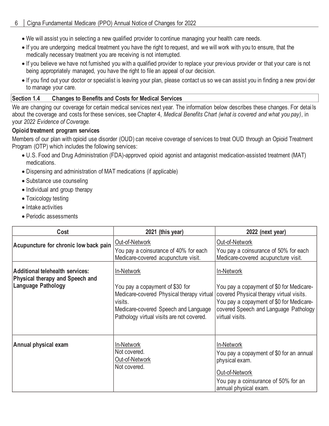- We will assist you in selecting a new qualified provider to continue managing your health care needs.
- If you are undergoing medical treatment you have the right to request, and we will work with you to ensure, that the medically necessary treatment you are receiving is not interrupted.
- If you believe we have not furnished you with a qualified provider to replace your previous provider or that your care is not being appropriately managed, you have the right to file an appeal of our decision.
- If you find out your doctor or specialist is leaving your plan, please contact us so we can assist you in finding a new provi der to manage your care.

#### **Section 1.4 Changes to Benefits and Costs for Medical Services**

We are changing our coverage for certain medical services next year. The information below describes these changes. For detai ls about the coverage and costs for these services, see Chapter 4, *Medical Benefits Chart (what is covered and what you pay)*, in your *2022 Evidence of Coverage.*

#### **Opioid treatment program services**

Members of our plan with opioid use disorder (OUD) can receive coverage of services to treat OUD through an Opioid Treatment Program (OTP) which includes the following services:

- U.S. Food and Drug Administration (FDA)-approved opioid agonist and antagonist medication-assisted treatment (MAT) medications.
- Dispensing and administration of MAT medications (if applicable)
- Substance use counseling
- Individual and group therapy
- Toxicology testing
- Intake activities
- Periodic assessments

| Cost                                                                                                   | 2021 (this year)                                                                                                                                                                           | 2022 (next year)                                                                                                                                                                                           |
|--------------------------------------------------------------------------------------------------------|--------------------------------------------------------------------------------------------------------------------------------------------------------------------------------------------|------------------------------------------------------------------------------------------------------------------------------------------------------------------------------------------------------------|
| Acupuncture for chronic low back pain                                                                  | Out-of-Network<br>You pay a coinsurance of 40% for each<br>Medicare-covered acupuncture visit.                                                                                             | Out-of-Network<br>You pay a coinsurance of 50% for each<br>Medicare-covered acupuncture visit.                                                                                                             |
| Additional telehealth services:<br><b>Physical therapy and Speech and</b><br><b>Language Pathology</b> | In-Network<br>You pay a copayment of \$30 for<br>Medicare-covered Physical therapy virtual<br>visits.<br>Medicare-covered Speech and Language<br>Pathology virtual visits are not covered. | In-Network<br>You pay a copayment of \$0 for Medicare-<br>covered Physical therapy virtual visits.<br>You pay a copayment of \$0 for Medicare-<br>covered Speech and Language Pathology<br>virtual visits. |
| Annual physical exam                                                                                   | In-Network<br>Not covered.<br>Out-of-Network<br>Not covered.                                                                                                                               | In-Network<br>You pay a copayment of \$0 for an annual<br>physical exam.<br>Out-of-Network<br>You pay a coinsurance of 50% for an<br>annual physical exam.                                                 |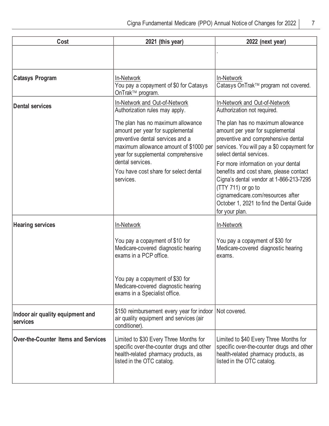| Cost                                         | 2021 (this year)                                                                                                                                                                                                                                                     | 2022 (next year)                                                                                                                                                                                                                                                                                                                                                                                                                            |
|----------------------------------------------|----------------------------------------------------------------------------------------------------------------------------------------------------------------------------------------------------------------------------------------------------------------------|---------------------------------------------------------------------------------------------------------------------------------------------------------------------------------------------------------------------------------------------------------------------------------------------------------------------------------------------------------------------------------------------------------------------------------------------|
|                                              |                                                                                                                                                                                                                                                                      |                                                                                                                                                                                                                                                                                                                                                                                                                                             |
| <b>Catasys Program</b>                       | In-Network<br>You pay a copayment of \$0 for Catasys<br>OnTrak™ program.                                                                                                                                                                                             | In-Network<br>Catasys OnTrak™ program not covered.                                                                                                                                                                                                                                                                                                                                                                                          |
| <b>Dental services</b>                       | In-Network and Out-of-Network<br>Authorization rules may apply.                                                                                                                                                                                                      | In-Network and Out-of-Network<br>Authorization not required.                                                                                                                                                                                                                                                                                                                                                                                |
|                                              | The plan has no maximum allowance<br>amount per year for supplemental<br>preventive dental services and a<br>maximum allowance amount of \$1000 per<br>year for supplemental comprehensive<br>dental services.<br>You have cost share for select dental<br>services. | The plan has no maximum allowance<br>amount per year for supplemental<br>preventive and comprehensive dental<br>services. You will pay a \$0 copayment for<br>select dental services.<br>For more information on your dental<br>benefits and cost share, please contact<br>Cigna's dental vendor at 1-866-213-7295<br>(TTY 711) or go to<br>cignamedicare.com/resources after<br>October 1, 2021 to find the Dental Guide<br>for your plan. |
| <b>Hearing services</b>                      | In-Network                                                                                                                                                                                                                                                           | In-Network                                                                                                                                                                                                                                                                                                                                                                                                                                  |
|                                              | You pay a copayment of \$10 for<br>Medicare-covered diagnostic hearing<br>exams in a PCP office.<br>You pay a copayment of \$30 for<br>Medicare-covered diagnostic hearing<br>exams in a Specialist office.                                                          | You pay a copayment of \$30 for<br>Medicare-covered diagnostic hearing<br>exams.                                                                                                                                                                                                                                                                                                                                                            |
| Indoor air quality equipment and<br>services | \$150 reimbursement every year for indoor<br>air quality equipment and services (air<br>conditioner).                                                                                                                                                                | Not covered.                                                                                                                                                                                                                                                                                                                                                                                                                                |
| <b>Over-the-Counter Items and Services</b>   | Limited to \$30 Every Three Months for<br>specific over-the-counter drugs and other<br>health-related pharmacy products, as<br>listed in the OTC catalog.                                                                                                            | Limited to \$40 Every Three Months for<br>specific over-the-counter drugs and other<br>health-related pharmacy products, as<br>listed in the OTC catalog.                                                                                                                                                                                                                                                                                   |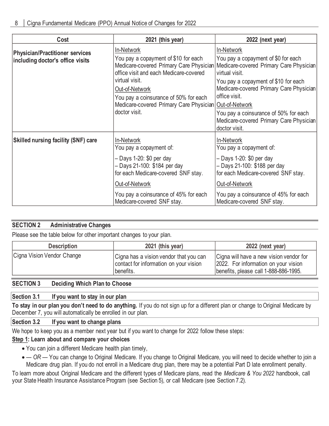| Cost                                                                       | 2021 (this year)                                                                                                                                                                                                                                                                                | 2022 (next year)                                                                                                                                                                                                                                                                                                        |
|----------------------------------------------------------------------------|-------------------------------------------------------------------------------------------------------------------------------------------------------------------------------------------------------------------------------------------------------------------------------------------------|-------------------------------------------------------------------------------------------------------------------------------------------------------------------------------------------------------------------------------------------------------------------------------------------------------------------------|
| <b>Physician/Practitioner services</b><br>including doctor's office visits | In-Network<br>You pay a copayment of \$10 for each<br>Medicare-covered Primary Care Physician<br>office visit and each Medicare-covered<br>virtual visit.<br>Out-of-Network<br>You pay a coinsurance of 50% for each<br>Medicare-covered Primary Care Physician Out-of-Network<br>doctor visit. | In-Network<br>You pay a copayment of \$0 for each<br>Medicare-covered Primary Care Physician<br>virtual visit.<br>You pay a copayment of \$10 for each<br>Medicare-covered Primary Care Physician<br>office visit.<br>You pay a coinsurance of 50% for each<br>Medicare-covered Primary Care Physician<br>doctor visit. |
| <b>Skilled nursing facility (SNF) care</b>                                 | In-Network<br>You pay a copayment of:<br>- Days 1-20: \$0 per day<br>- Days 21-100: \$184 per day<br>for each Medicare-covered SNF stay.<br>Out-of-Network<br>You pay a coinsurance of 45% for each<br>Medicare-covered SNF stay.                                                               | In-Network<br>You pay a copayment of:<br>- Days 1-20: \$0 per day<br>- Days 21-100: \$188 per day<br>for each Medicare-covered SNF stay.<br>Out-of-Network<br>You pay a coinsurance of 45% for each<br>Medicare-covered SNF stay.                                                                                       |

# **SECTION 2 Administrative Changes**

Please see the table below for other important changes to your plan.

| <b>Description</b>         | 2021 (this year)                                                                              | 2022 (next year)                                                                                                         |
|----------------------------|-----------------------------------------------------------------------------------------------|--------------------------------------------------------------------------------------------------------------------------|
| Cigna Vision Vendor Change | Cigna has a vision vendor that you can<br>contact for information on your vision<br>benefits. | Cigna will have a new vision vendor for<br>2022. For information on your vision<br>benefits, please call 1-888-886-1995. |

# **SECTION 3 Deciding Which Plan to Choose**

#### **Section 3.1 If you want to stay in our plan**

**To stay in our plan you don't need to do anything.** If you do not sign up for a different plan or change to Original Medicare by December 7, you will automatically be enrolled in our plan.

#### **Section 3.2 If you want to change plans**

We hope to keep you as a member next year but if you want to change for 2022 follow these steps:

#### **Step 1: Learn about and compare your choices**

- You can join a different Medicare health plan timely,
- — *OR* You can change to Original Medicare. If you change to Original Medicare, you will need to decide whether to join a Medicare drug plan. If you do not enroll in a Medicare drug plan, there may be a potential Part D late enrollment penalty.

To learn more about Original Medicare and the different types of Medicare plans, read the *Medicare & You 2022* handbook, call your State Health Insurance Assistance Program (see Section 5), or call Medicare (see Section 7.2).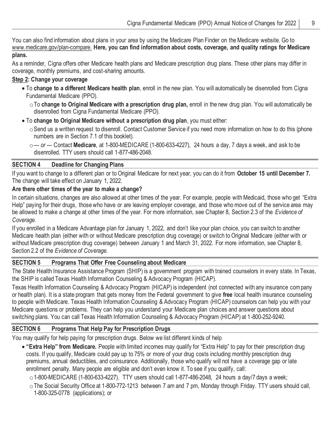You can also find information about plans in your area by using the Medicare Plan Finder on the Medicare website. Go to www.medicare.gov/plan-compare. **Here, you can find information about costs, coverage, and quality ratings for Medicare plans.**

As a reminder, Cigna offers other Medicare health plans and Medicare prescription drug plans. These other plans may differ in coverage, monthly premiums, and cost-sharing amounts.

# **Step 2: Change your coverage**

- To **change to a different Medicare health plan**, enroll in the new plan. You will automatically be disenrolled from Cigna Fundamental Medicare (PPO).
	- oTo **change to Original Medicare with a prescription drug plan,** enroll in the new drug plan. You will automatically be disenrolled from Cigna Fundamental Medicare (PPO).
- To **change to Original Medicare without a prescription drug plan**, you must either:
	- $\circ$  Send us a written request to disenroll. Contact Customer Service if you need more information on how to do this (phone numbers are in Section 7.1 of this booklet).

# **SECTION 4 Deadline for Changing Plans**

If you want to change to a different plan or to Original Medicare for next year, you can do it from **October 15 until December 7.**  The change will take effect on January 1, 2022.

# **Are there other times of the year to make a change?**

In certain situations, changes are also allowed at other times of the year. For example, people with Medicaid, those who get "Extra Help" paying for their drugs, those who have or are leaving employer coverage, and those who move out of the service area may be allowed to make a change at other times of the year. For more information, see Chapter 8, Section 2.3 of the *Evidence of Coverage.*

If you enrolled in a Medicare Advantage plan for January 1, 2022, and don't like your plan choice, you can switch to another Medicare health plan (either with or without Medicare prescription drug coverage) or switch to Original Medicare (either with or without Medicare prescription drug coverage) between January 1 and March 31, 2022. For more information, see Chapter 8, Section 2.2 of the *Evidence of Coverage.*

# **SECTION 5 Programs That Offer Free Counseling about Medicare**

The State Health Insurance Assistance Program (SHIP) is a government program with trained counselors in every state. In Texas, the SHIP is called Texas Health Information Counseling & Advocacy Program (HICAP).

Texas Health Information Counseling & Advocacy Program (HICAP) is independent (not connected with any insurance company or health plan). It is a state program that gets money from the Federal government to give **free** local health insurance counseling to people with Medicare. Texas Health Information Counseling & Advocacy Program (HICAP) counselors can help you with your Medicare questions or problems. They can help you understand your Medicare plan choices and answer questions about switching plans. You can call Texas Health Information Counseling & Advocacy Program (HICAP) at 1-800-252-9240.

# **SECTION 6 Programs That Help Pay for Prescription Drugs**

You may qualify for help paying for prescription drugs. Below we list different kinds of help

• **"Extra Help" from Medicare.** People with limited incomes may qualify for "Extra Help" to pay for their prescription drug costs. If you qualify, Medicare could pay up to 75% or more of your drug costs including monthly prescription drug premiums, annual deductibles, and coinsurance. Additionally, those who qualify will not have a coverage gap or late enrollment penalty. Many people are eligible and don't even know it. To see if you qualify, call:

 $\circ$  1-800-MEDICARE (1-800-633-4227). TTY users should call 1-877-486-2048, 24 hours a day/7 days a week;

oThe Social Security Office at 1-800-772-1213 between 7 am and 7 pm, Monday through Friday. TTY users should call, 1-800-325-0778 (applications); or

o*— or —* Contact **Medicare**, at 1-800-MEDICARE (1-800-633-4227), 24 hours a day, 7 days a week, and ask to be disenrolled. TTY users should call 1-877-486-2048.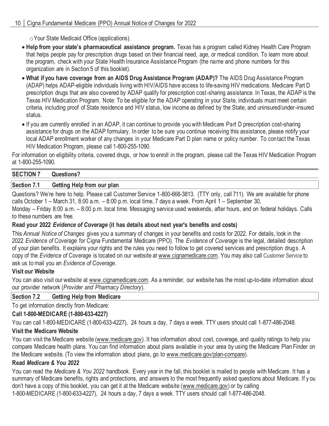oYour State Medicaid Office (applications).

- **Help from your state's pharmaceutical assistance program.** Texas has a program called Kidney Health Care Program that helps people pay for prescription drugs based on their financial need, age, or medical condition. To learn more about the program, check with your State Health Insurance Assistance Program (the name and phone numbers for this organization are in Section 5 of this booklet).
- **What if you have coverage from an AIDS Drug Assistance Program (ADAP)?** The AIDS Drug Assistance Program (ADAP) helps ADAP-eligible individuals living with HIV/AIDS have access to life-saving HIV medications. Medicare Part D prescription drugs that are also covered by ADAP qualify for prescription cost-sharing assistance. In Texas, the ADAP is the Texas HIV Medication Program. Note: To be eligible for the ADAP operating in your State, individuals must meet certain criteria, including proof of State residence and HIV status, low income as defined by the State, and uninsured/under-insured status.
- If you are currently enrolled in an ADAP, it can continue to provide you with Medicare Part D prescription cost-sharing assistance for drugs on the ADAP formulary. In order to be sure you continue receiving this assistance, please notify your local ADAP enrollment worker of any changes in your Medicare Part D plan name or policy number. To contact the Texas HIV Medication Program, please call 1-800-255-1090.

For information on eligibility criteria, covered drugs, or how to enroll in the program, please call the Texas HIV Medication Program at 1-800-255-1090.

#### **SECTION 7 Questions?**

#### **Section 7.1 Getting Help from our plan**

Questions? We're here to help. Please call Customer Service 1-800-668-3813. (TTY only, call 711). We are available for phone calls October 1 – March 31, 8:00 a.m. – 8:00 p.m. local time, 7 days a week. From April 1 – September 30, Monday – Friday 8:00 a.m. – 8:00 p.m. local time. Messaging service used weekends, after hours, and on federal holidays. Calls

to these numbers are free.

### **Read your 2022** *Evidence of Coverage* **(it has details about next year's benefits and costs)**

This *Annual Notice of Changes* gives you a summary of changes in your benefits and costs for 2022. For details, look in the 2022 *Evidence of Coverage* for Cigna Fundamental Medicare (PPO). The *Evidence of Coverage* is the legal, detailed description of your plan benefits. It explains your rights and the rules you need to follow to get covered services and prescription drugs. A copy of the *Evidence of Coverage* is located on our website at www.cignamedicare.com. You may also call Customer Service to ask us to mail you an *Evidence of Coverage*.

#### **Visit our Website**

You can also visit our website at www.cignamedicare.com. As a reminder, our website has the most up-to-date information about our provider network (*Provider and Pharmacy Directory*).

#### **Section 7.2 Getting Help from Medicare**

To get information directly from Medicare:

# **Call 1-800-MEDICARE (1-800-633-4227)**

You can call 1-800-MEDICARE (1-800-633-4227), 24 hours a day, 7 days a week. TTY users should call 1-877-486-2048.

# **Visit the Medicare Website**

You can visit the Medicare website (www.medicare.gov). It has information about cost, coverage, and quality ratings to help you compare Medicare health plans. You can find information about plans available in your area by using the Medicare Plan Finder on the Medicare website. (To view the information about plans, go to www.medicare.gov/plan-compare).

# **Read** *Medicare & You 2022*

You can read the *Medicare & You 2022* handbook. Every year in the fall, this booklet is mailed to people with Medicare. It has a summary of Medicare benefits, rights and protections, and answers to the most frequently asked questions about Medicare. If y ou don't have a copy of this booklet, you can get it at the Medicare website (www.medicare.gov) or by calling 1-800-MEDICARE (1-800-633-4227), 24 hours a day, 7 days a week. TTY users should call 1-877-486-2048.